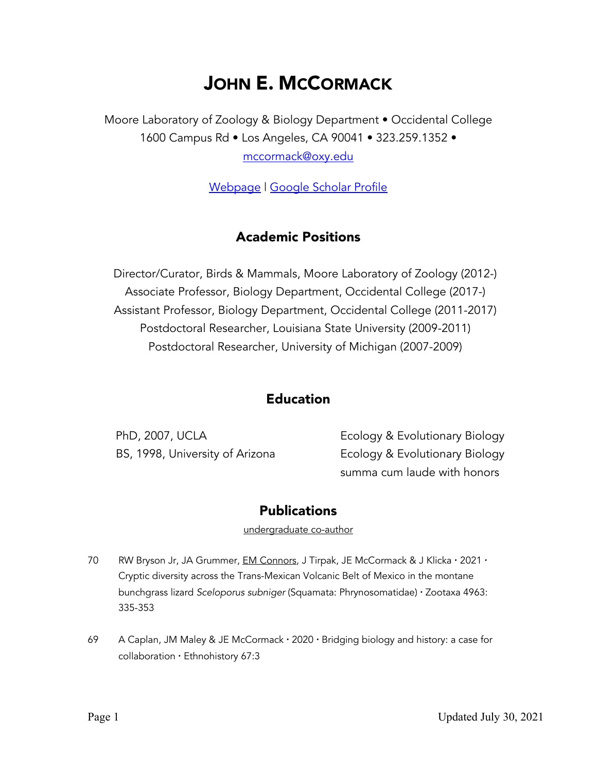# JOHN E. MCCORMACK

Moore Laboratory of Zoology & Biology Department • Occidental College 1600 Campus Rd • Los Angeles, CA 90041 • 323.259.1352 •

mccormack@oxy.edu

Webpage | Google Scholar Profile

# Academic Positions

Director/Curator, Birds & Mammals, Moore Laboratory of Zoology (2012-) Associate Professor, Biology Department, Occidental College (2017-) Assistant Professor, Biology Department, Occidental College (2011-2017) Postdoctoral Researcher, Louisiana State University (2009-2011) Postdoctoral Researcher, University of Michigan (2007-2009)

## Education

PhD, 2007, UCLA Ecology & Evolutionary Biology BS, 1998, University of Arizona Ecology & Evolutionary Biology summa cum laude with honors

### **Publications**

undergraduate co-author

- 70 RW Bryson Jr, JA Grummer, EM Connors, J Tirpak, JE McCormack & J Klicka · 2021 · Cryptic diversity across the Trans-Mexican Volcanic Belt of Mexico in the montane bunchgrass lizard *Sceloporus subniger* (Squamata: Phrynosomatidae) · Zootaxa 4963: 335-353
- 69 A Caplan, JM Maley & JE McCormack · 2020 · Bridging biology and history: a case for collaboration · Ethnohistory 67:3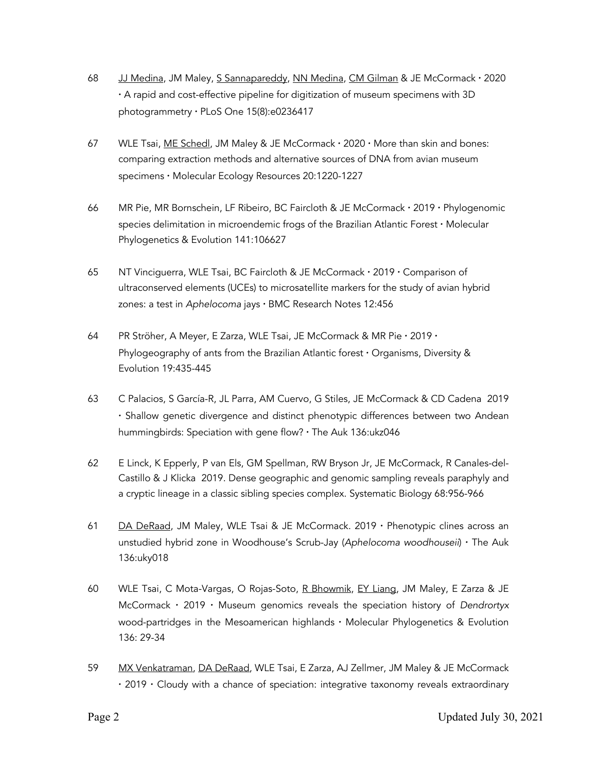- 68 JJ Medina, JM Maley, S Sannapareddy, NN Medina, CM Gilman & JE McCormack · 2020 · A rapid and cost-effective pipeline for digitization of museum specimens with 3D photogrammetry · PLoS One 15(8):e0236417
- 67 WLE Tsai, ME Schedl, JM Maley & JE McCormack · 2020 · More than skin and bones: comparing extraction methods and alternative sources of DNA from avian museum specimens · Molecular Ecology Resources 20:1220-1227
- 66 MR Pie, MR Bornschein, LF Ribeiro, BC Faircloth & JE McCormack · 2019 · Phylogenomic species delimitation in microendemic frogs of the Brazilian Atlantic Forest · Molecular Phylogenetics & Evolution 141:106627
- 65 NT Vinciguerra, WLE Tsai, BC Faircloth & JE McCormack · 2019 · Comparison of ultraconserved elements (UCEs) to microsatellite markers for the study of avian hybrid zones: a test in *Aphelocoma* jays · BMC Research Notes 12:456
- 64 PR Ströher, A Meyer, E Zarza, WLE Tsai, JE McCormack & MR Pie · 2019 · Phylogeography of ants from the Brazilian Atlantic forest · Organisms, Diversity & Evolution 19:435-445
- 63 C Palacios, S García-R, JL Parra, AM Cuervo, G Stiles, JE McCormack & CD Cadena 2019 · Shallow genetic divergence and distinct phenotypic differences between two Andean hummingbirds: Speciation with gene flow? · The Auk 136:ukz046
- 62 E Linck, K Epperly, P van Els, GM Spellman, RW Bryson Jr, JE McCormack, R Canales-del-Castillo & J Klicka 2019. Dense geographic and genomic sampling reveals paraphyly and a cryptic lineage in a classic sibling species complex. Systematic Biology 68:956-966
- 61 DA DeRaad, JM Maley, WLE Tsai & JE McCormack. 2019 · Phenotypic clines across an unstudied hybrid zone in Woodhouse's Scrub-Jay (*Aphelocoma woodhouseii*) · The Auk 136:uky018
- 60 WLE Tsai, C Mota-Vargas, O Rojas-Soto, R Bhowmik, EY Liang, JM Maley, E Zarza & JE McCormack · 2019 · Museum genomics reveals the speciation history of *Dendrortyx* wood-partridges in the Mesoamerican highlands · Molecular Phylogenetics & Evolution 136: 29-34
- 59 MX Venkatraman, DA DeRaad, WLE Tsai, E Zarza, AJ Zellmer, JM Maley & JE McCormack · 2019 · Cloudy with a chance of speciation: integrative taxonomy reveals extraordinary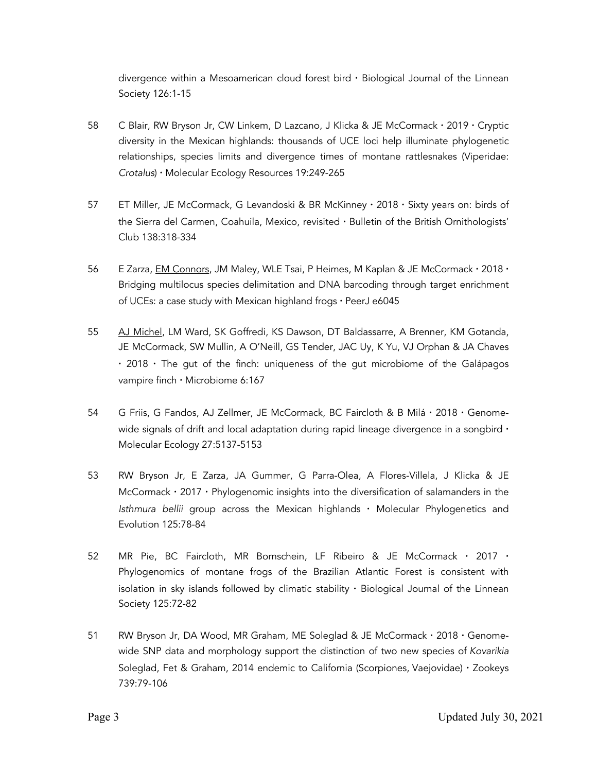divergence within a Mesoamerican cloud forest bird  $\cdot$  Biological Journal of the Linnean Society 126:1-15

- 58 C Blair, RW Bryson Jr, CW Linkem, D Lazcano, J Klicka & JE McCormack · 2019 · Cryptic diversity in the Mexican highlands: thousands of UCE loci help illuminate phylogenetic relationships, species limits and divergence times of montane rattlesnakes (Viperidae: *Crotalus*) · Molecular Ecology Resources 19:249-265
- 57 ET Miller, JE McCormack, G Levandoski & BR McKinney · 2018 · Sixty years on: birds of the Sierra del Carmen, Coahuila, Mexico, revisited · Bulletin of the British Ornithologists' Club 138:318-334
- 56 E Zarza, EM Connors, JM Maley, WLE Tsai, P Heimes, M Kaplan & JE McCormack · 2018 · Bridging multilocus species delimitation and DNA barcoding through target enrichment of UCEs: a case study with Mexican highland frogs · PeerJ e6045
- 55 AJ Michel, LM Ward, SK Goffredi, KS Dawson, DT Baldassarre, A Brenner, KM Gotanda, JE McCormack, SW Mullin, A O'Neill, GS Tender, JAC Uy, K Yu, VJ Orphan & JA Chaves  $\cdot$  2018  $\cdot$  The gut of the finch: uniqueness of the gut microbiome of the Galápagos vampire finch · Microbiome 6:167
- 54 G Friis, G Fandos, AJ Zellmer, JE McCormack, BC Faircloth & B Milá · 2018 · Genomewide signals of drift and local adaptation during rapid lineage divergence in a songbird  $\cdot$ Molecular Ecology 27:5137-5153
- 53 RW Bryson Jr, E Zarza, JA Gummer, G Parra-Olea, A Flores-Villela, J Klicka & JE McCormack  $\cdot$  2017  $\cdot$  Phylogenomic insights into the diversification of salamanders in the *Isthmura bellii* group across the Mexican highlands · Molecular Phylogenetics and Evolution 125:78-84
- 52 MR Pie, BC Faircloth, MR Bornschein, LF Ribeiro & JE McCormack · 2017 · Phylogenomics of montane frogs of the Brazilian Atlantic Forest is consistent with isolation in sky islands followed by climatic stability  $\cdot$  Biological Journal of the Linnean Society 125:72-82
- 51 RW Bryson Jr, DA Wood, MR Graham, ME Soleglad & JE McCormack · 2018 · Genomewide SNP data and morphology support the distinction of two new species of *Kovarikia* Soleglad, Fet & Graham, 2014 endemic to California (Scorpiones, Vaejovidae) · Zookeys 739:79-106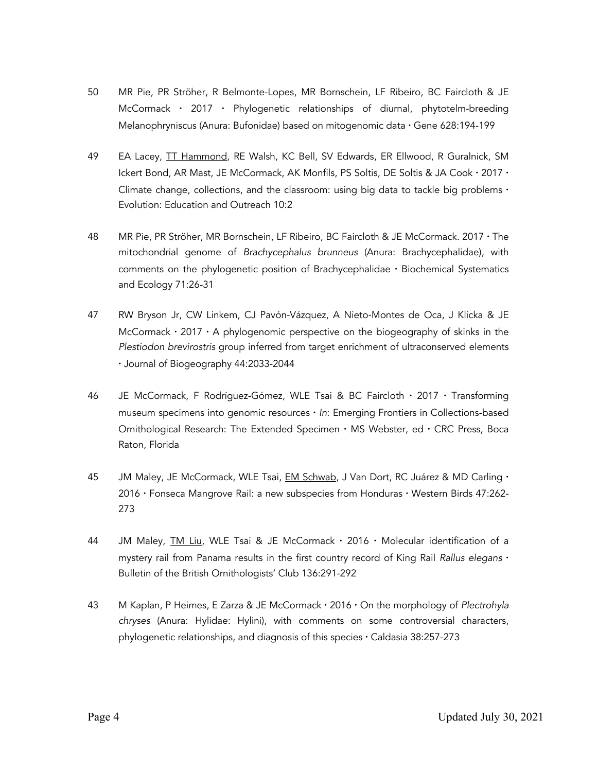- 50 MR Pie, PR Ströher, R Belmonte-Lopes, MR Bornschein, LF Ribeiro, BC Faircloth & JE McCormack · 2017 · Phylogenetic relationships of diurnal, phytotelm-breeding Melanophryniscus (Anura: Bufonidae) based on mitogenomic data · Gene 628:194-199
- 49 EA Lacey, **TT Hammond**, RE Walsh, KC Bell, SV Edwards, ER Ellwood, R Guralnick, SM Ickert Bond, AR Mast, JE McCormack, AK Monfils, PS Soltis, DE Soltis & JA Cook · 2017 · Climate change, collections, and the classroom: using big data to tackle big problems  $\cdot$ Evolution: Education and Outreach 10:2
- 48 MR Pie, PR Ströher, MR Bornschein, LF Ribeiro, BC Faircloth & JE McCormack. 2017 · The mitochondrial genome of *Brachycephalus brunneus* (Anura: Brachycephalidae), with comments on the phylogenetic position of Brachycephalidae · Biochemical Systematics and Ecology 71:26-31
- 47 RW Bryson Jr, CW Linkem, CJ Pavón-Vázquez, A Nieto-Montes de Oca, J Klicka & JE McCormack  $\cdot$  2017  $\cdot$  A phylogenomic perspective on the biogeography of skinks in the *Plestiodon brevirostris* group inferred from target enrichment of ultraconserved elements · Journal of Biogeography 44:2033-2044
- 46 JE McCormack, F Rodríguez-Gómez, WLE Tsai & BC Faircloth · 2017 · Transforming museum specimens into genomic resources · *In*: Emerging Frontiers in Collections-based Ornithological Research: The Extended Specimen  $\cdot$  MS Webster, ed  $\cdot$  CRC Press, Boca Raton, Florida
- 45 JM Maley, JE McCormack, WLE Tsai, *EM Schwab*, J Van Dort, RC Juárez & MD Carling · 2016 · Fonseca Mangrove Rail: a new subspecies from Honduras · Western Birds 47:262- 273
- 44 JM Maley, *TM Liu*, WLE Tsai & JE McCormack · 2016 · Molecular identification of a mystery rail from Panama results in the first country record of King Rail *Rallus elegans* · Bulletin of the British Ornithologists' Club 136:291-292
- 43 M Kaplan, P Heimes, E Zarza & JE McCormack · 2016 · On the morphology of *Plectrohyla chryses* (Anura: Hylidae: Hylini), with comments on some controversial characters, phylogenetic relationships, and diagnosis of this species · Caldasia 38:257-273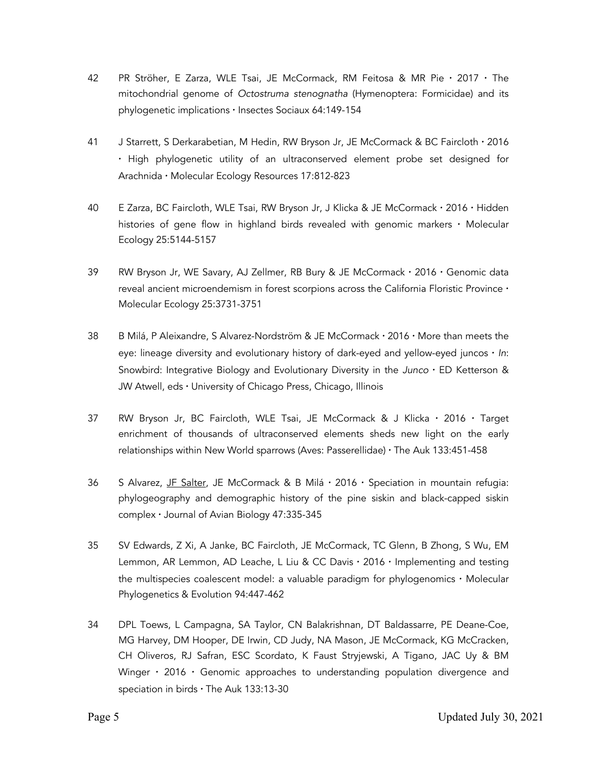- 42 PR Ströher, E Zarza, WLE Tsai, JE McCormack, RM Feitosa & MR Pie · 2017 · The mitochondrial genome of *Octostruma stenognatha* (Hymenoptera: Formicidae) and its phylogenetic implications · Insectes Sociaux 64:149-154
- 41 J Starrett, S Derkarabetian, M Hedin, RW Bryson Jr, JE McCormack & BC Faircloth · 2016 · High phylogenetic utility of an ultraconserved element probe set designed for Arachnida · Molecular Ecology Resources 17:812-823
- 40 E Zarza, BC Faircloth, WLE Tsai, RW Bryson Jr, J Klicka & JE McCormack · 2016 · Hidden histories of gene flow in highland birds revealed with genomic markers · Molecular Ecology 25:5144-5157
- 39 RW Bryson Jr, WE Savary, AJ Zellmer, RB Bury & JE McCormack · 2016 · Genomic data reveal ancient microendemism in forest scorpions across the California Floristic Province · Molecular Ecology 25:3731-3751
- 38 B Milá, P Aleixandre, S Alvarez-Nordström & JE McCormack · 2016 · More than meets the eye: lineage diversity and evolutionary history of dark-eyed and yellow-eyed juncos · *In*: Snowbird: Integrative Biology and Evolutionary Diversity in the *Junco* · ED Ketterson & JW Atwell, eds · University of Chicago Press, Chicago, Illinois
- 37 RW Bryson Jr, BC Faircloth, WLE Tsai, JE McCormack & J Klicka · 2016 · Target enrichment of thousands of ultraconserved elements sheds new light on the early relationships within New World sparrows (Aves: Passerellidae) · The Auk 133:451-458
- 36 S Alvarez, JF Salter, JE McCormack & B Milá · 2016 · Speciation in mountain refugia: phylogeography and demographic history of the pine siskin and black-capped siskin complex · Journal of Avian Biology 47:335-345
- 35 SV Edwards, Z Xi, A Janke, BC Faircloth, JE McCormack, TC Glenn, B Zhong, S Wu, EM Lemmon, AR Lemmon, AD Leache, L Liu & CC Davis · 2016 · Implementing and testing the multispecies coalescent model: a valuable paradigm for phylogenomics · Molecular Phylogenetics & Evolution 94:447-462
- 34 DPL Toews, L Campagna, SA Taylor, CN Balakrishnan, DT Baldassarre, PE Deane-Coe, MG Harvey, DM Hooper, DE Irwin, CD Judy, NA Mason, JE McCormack, KG McCracken, CH Oliveros, RJ Safran, ESC Scordato, K Faust Stryjewski, A Tigano, JAC Uy & BM Winger · 2016 · Genomic approaches to understanding population divergence and speciation in birds · The Auk 133:13-30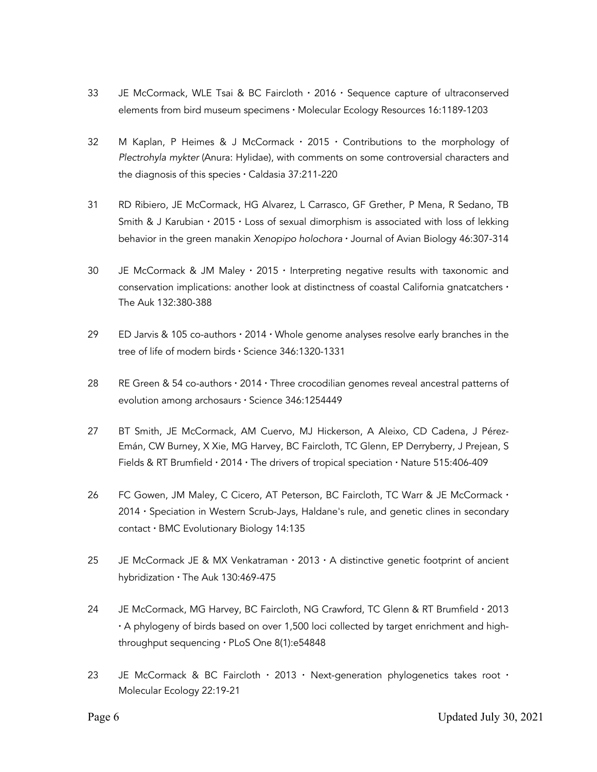- 33 JE McCormack, WLE Tsai & BC Faircloth · 2016 · Sequence capture of ultraconserved elements from bird museum specimens · Molecular Ecology Resources 16:1189-1203
- 32 M Kaplan, P Heimes  $\&$  J McCormack  $\cdot$  2015  $\cdot$  Contributions to the morphology of *Plectrohyla mykter* (Anura: Hylidae), with comments on some controversial characters and the diagnosis of this species · Caldasia 37:211-220
- 31 RD Ribiero, JE McCormack, HG Alvarez, L Carrasco, GF Grether, P Mena, R Sedano, TB Smith & J Karubian · 2015 · Loss of sexual dimorphism is associated with loss of lekking behavior in the green manakin *Xenopipo holochora* · Journal of Avian Biology 46:307-314
- 30 JE McCormack & JM Maley  $\cdot$  2015  $\cdot$  Interpreting negative results with taxonomic and conservation implications: another look at distinctness of coastal California gnatcatchers  $\cdot$ The Auk 132:380-388
- 29 ED Jarvis & 105 co-authors  $\cdot$  2014  $\cdot$  Whole genome analyses resolve early branches in the tree of life of modern birds · Science 346:1320-1331
- 28 RE Green & 54 co-authors  $\cdot$  2014  $\cdot$  Three crocodilian genomes reveal ancestral patterns of evolution among archosaurs · Science 346:1254449
- 27 BT Smith, JE McCormack, AM Cuervo, MJ Hickerson, A Aleixo, CD Cadena, J Pérez-Emán, CW Burney, X Xie, MG Harvey, BC Faircloth, TC Glenn, EP Derryberry, J Prejean, S Fields & RT Brumfield · 2014 · The drivers of tropical speciation · Nature 515:406-409
- 26 FC Gowen, JM Maley, C Cicero, AT Peterson, BC Faircloth, TC Warr & JE McCormack · 2014 · Speciation in Western Scrub-Jays, Haldane's rule, and genetic clines in secondary contact · BMC Evolutionary Biology 14:135
- 25 JE McCormack JE & MX Venkatraman  $\cdot$  2013  $\cdot$  A distinctive genetic footprint of ancient hybridization · The Auk 130:469-475
- 24 JE McCormack, MG Harvey, BC Faircloth, NG Crawford, TC Glenn & RT Brumfield · 2013 · A phylogeny of birds based on over 1,500 loci collected by target enrichment and highthroughput sequencing · PLoS One 8(1):e54848
- 23 JE McCormack & BC Faircloth  $\cdot$  2013  $\cdot$  Next-generation phylogenetics takes root  $\cdot$ Molecular Ecology 22:19-21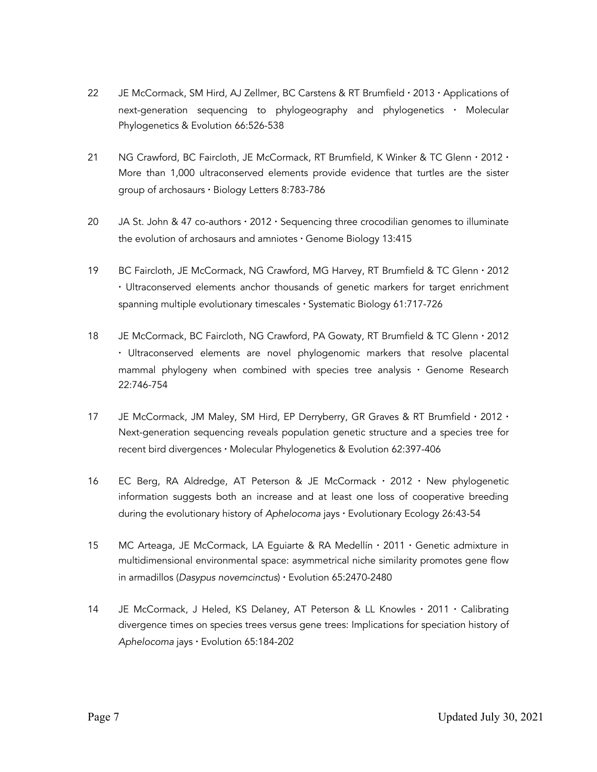- 22 JE McCormack, SM Hird, AJ Zellmer, BC Carstens & RT Brumfield  $\cdot$  2013  $\cdot$  Applications of next-generation sequencing to phylogeography and phylogenetics · Molecular Phylogenetics & Evolution 66:526-538
- 21 NG Crawford, BC Faircloth, JE McCormack, RT Brumfield, K Winker & TC Glenn · 2012 · More than 1,000 ultraconserved elements provide evidence that turtles are the sister group of archosaurs · Biology Letters 8:783-786
- 20 JA St. John & 47 co-authors  $\cdot$  2012  $\cdot$  Sequencing three crocodilian genomes to illuminate the evolution of archosaurs and amniotes  $\cdot$  Genome Biology 13:415
- 19 BC Faircloth, JE McCormack, NG Crawford, MG Harvey, RT Brumfield & TC Glenn · 2012 · Ultraconserved elements anchor thousands of genetic markers for target enrichment spanning multiple evolutionary timescales · Systematic Biology 61:717-726
- 18 JE McCormack, BC Faircloth, NG Crawford, PA Gowaty, RT Brumfield & TC Glenn · 2012 · Ultraconserved elements are novel phylogenomic markers that resolve placental mammal phylogeny when combined with species tree analysis  $\cdot$  Genome Research 22:746-754
- 17 JE McCormack, JM Maley, SM Hird, EP Derryberry, GR Graves & RT Brumfield · 2012 · Next-generation sequencing reveals population genetic structure and a species tree for recent bird divergences · Molecular Phylogenetics & Evolution 62:397-406
- 16 EC Berg, RA Aldredge, AT Peterson & JE McCormack · 2012 · New phylogenetic information suggests both an increase and at least one loss of cooperative breeding during the evolutionary history of *Aphelocoma* jays · Evolutionary Ecology 26:43-54
- 15 MC Arteaga, JE McCormack, LA Eguiarte & RA Medellín · 2011 · Genetic admixture in multidimensional environmental space: asymmetrical niche similarity promotes gene flow in armadillos (*Dasypus novemcinctus*) · Evolution 65:2470-2480
- 14 JE McCormack, J Heled, KS Delaney, AT Peterson & LL Knowles · 2011 · Calibrating divergence times on species trees versus gene trees: Implications for speciation history of *Aphelocoma* jays · Evolution 65:184-202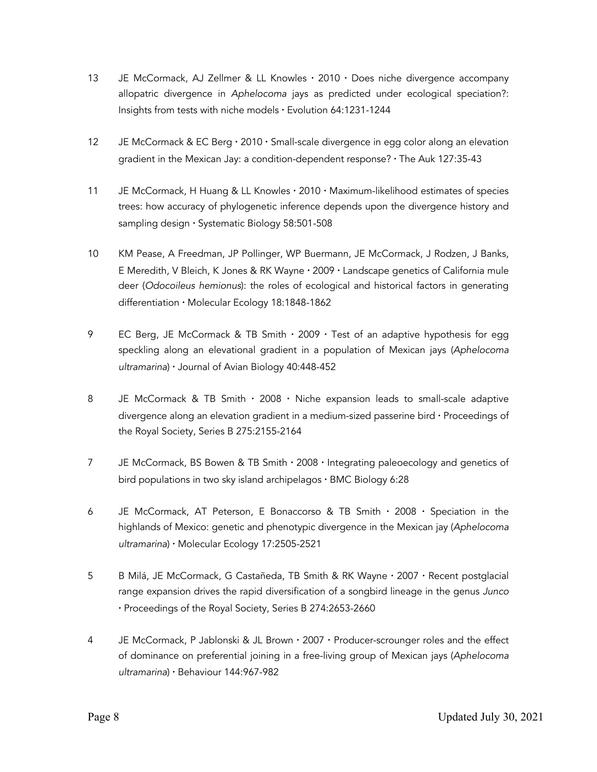- 13 JE McCormack, AJ Zellmer & LL Knowles · 2010 · Does niche divergence accompany allopatric divergence in *Aphelocoma* jays as predicted under ecological speciation?: Insights from tests with niche models · Evolution 64:1231-1244
- 12 JE McCormack & EC Berg · 2010 · Small-scale divergence in egg color along an elevation gradient in the Mexican Jay: a condition-dependent response? · The Auk 127:35-43
- 11 JE McCormack, H Huang & LL Knowles · 2010 · Maximum-likelihood estimates of species trees: how accuracy of phylogenetic inference depends upon the divergence history and sampling design · Systematic Biology 58:501-508
- 10 KM Pease, A Freedman, JP Pollinger, WP Buermann, JE McCormack, J Rodzen, J Banks, E Meredith, V Bleich, K Jones & RK Wayne · 2009 · Landscape genetics of California mule deer (*Odocoileus hemionus*): the roles of ecological and historical factors in generating differentiation · Molecular Ecology 18:1848-1862
- 9 EC Berg, JE McCormack & TB Smith  $\cdot$  2009  $\cdot$  Test of an adaptive hypothesis for egg speckling along an elevational gradient in a population of Mexican jays (*Aphelocoma ultramarina*) · Journal of Avian Biology 40:448-452
- 8 JE McCormack & TB Smith · 2008 · Niche expansion leads to small-scale adaptive divergence along an elevation gradient in a medium-sized passerine bird · Proceedings of the Royal Society, Series B 275:2155-2164
- 7 JE McCormack, BS Bowen & TB Smith · 2008 · Integrating paleoecology and genetics of bird populations in two sky island archipelagos · BMC Biology 6:28
- 6 JE McCormack, AT Peterson, E Bonaccorso & TB Smith · 2008 · Speciation in the highlands of Mexico: genetic and phenotypic divergence in the Mexican jay (*Aphelocoma ultramarina*) · Molecular Ecology 17:2505-2521
- 5 B Milá, JE McCormack, G Castañeda, TB Smith & RK Wayne · 2007 · Recent postglacial range expansion drives the rapid diversification of a songbird lineage in the genus *Junco* · Proceedings of the Royal Society, Series B 274:2653-2660
- 4 JE McCormack, P Jablonski & JL Brown · 2007 · Producer-scrounger roles and the effect of dominance on preferential joining in a free-living group of Mexican jays (*Aphelocoma ultramarina*) · Behaviour 144:967-982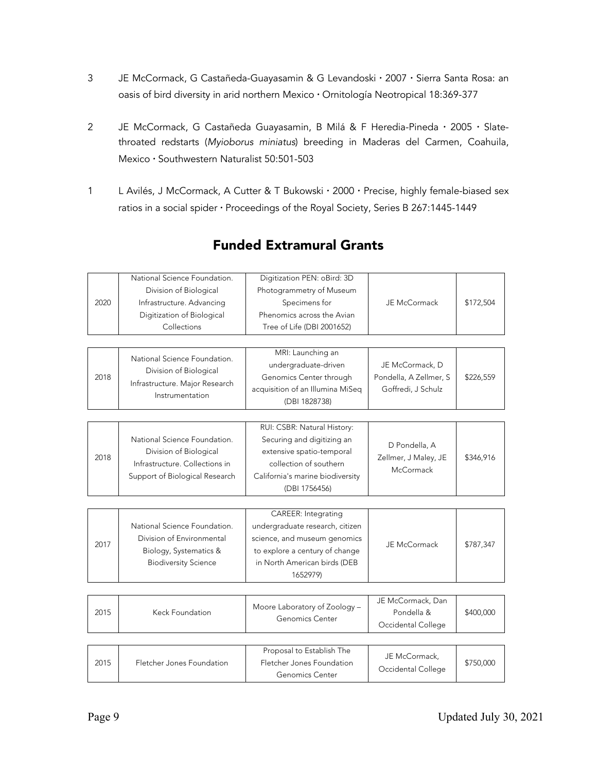- 3 JE McCormack, G Castañeda-Guayasamin & G Levandoski · 2007 · Sierra Santa Rosa: an oasis of bird diversity in arid northern Mexico · Ornitología Neotropical 18:369-377
- 2 JE McCormack, G Castañeda Guayasamin, B Milá & F Heredia-Pineda · 2005 · Slatethroated redstarts (*Myioborus miniatus*) breeding in Maderas del Carmen, Coahuila, Mexico · Southwestern Naturalist 50:501-503
- 1 L Avilés, J McCormack, A Cutter & T Bukowski · 2000 · Precise, highly female-biased sex ratios in a social spider · Proceedings of the Royal Society, Series B 267:1445-1449

| 2020 | National Science Foundation.<br>Division of Biological<br>Infrastructure. Advancing<br>Digitization of Biological<br>Collections | Digitization PEN: oBird: 3D<br>Photogrammetry of Museum<br>Specimens for<br>Phenomics across the Avian<br>Tree of Life (DBI 2001652)                                  | JE McCormack                                                    | \$172,504 |
|------|----------------------------------------------------------------------------------------------------------------------------------|-----------------------------------------------------------------------------------------------------------------------------------------------------------------------|-----------------------------------------------------------------|-----------|
| 2018 | National Science Foundation.<br>Division of Biological<br>Infrastructure. Major Research<br>Instrumentation                      | MRI: Launching an<br>undergraduate-driven<br>Genomics Center through<br>acquisition of an Illumina MiSeq<br>(DBI 1828738)                                             | JE McCormack, D<br>Pondella, A Zellmer, S<br>Goffredi, J Schulz | \$226,559 |
|      |                                                                                                                                  |                                                                                                                                                                       |                                                                 |           |
| 2018 | National Science Foundation.<br>Division of Biological<br>Infrastructure. Collections in<br>Support of Biological Research       | RUI: CSBR: Natural History:<br>Securing and digitizing an<br>extensive spatio-temporal<br>collection of southern<br>California's marine biodiversity<br>(DBI 1756456) | D Pondella, A<br>Zellmer, J Maley, JE<br>McCormack              | \$346,916 |
|      |                                                                                                                                  |                                                                                                                                                                       |                                                                 |           |
| 2017 | National Science Foundation.<br>Division of Environmental<br>Biology, Systematics &<br><b>Biodiversity Science</b>               | CAREER: Integrating<br>undergraduate research, citizen<br>science, and museum genomics<br>to explore a century of change<br>in North American birds (DEB<br>1652979)  | JE McCormack                                                    | \$787,347 |
|      |                                                                                                                                  |                                                                                                                                                                       |                                                                 |           |
| 2015 | Keck Foundation                                                                                                                  | Moore Laboratory of Zoology -<br>Genomics Center                                                                                                                      | JE McCormack, Dan<br>Pondella &<br>Occidental College           | \$400,000 |
|      |                                                                                                                                  |                                                                                                                                                                       |                                                                 |           |
| 2015 | Fletcher Jones Foundation                                                                                                        | Proposal to Establish The<br>Fletcher Jones Foundation<br>Genomics Center                                                                                             | JE McCormack,<br>Occidental College                             | \$750,000 |

# Funded Extramural Grants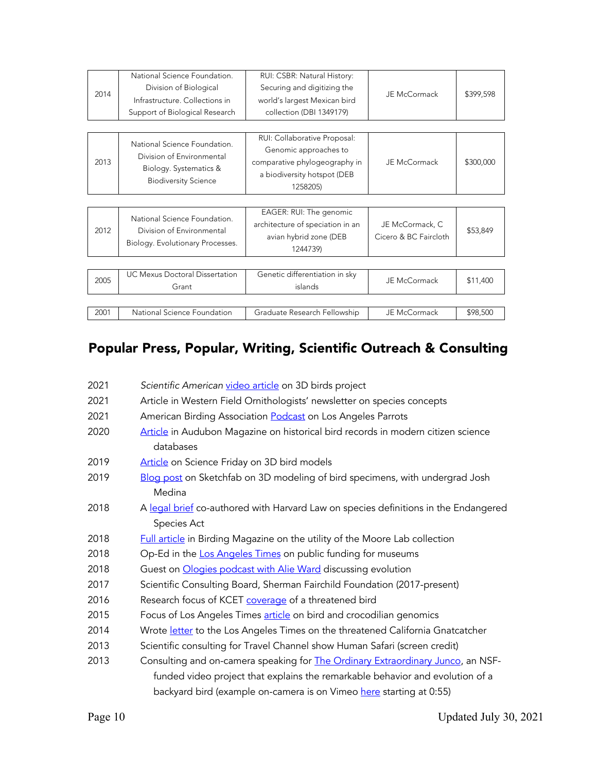| 2014 | National Science Foundation.<br>Division of Biological<br>Infrastructure, Collections in                           | RUI: CSBR: Natural History:<br>Securing and digitizing the<br>world's largest Mexican bird                                        | JE McCormack                             | \$399,598 |
|------|--------------------------------------------------------------------------------------------------------------------|-----------------------------------------------------------------------------------------------------------------------------------|------------------------------------------|-----------|
|      | Support of Biological Research                                                                                     | collection (DBI 1349179)                                                                                                          |                                          |           |
|      |                                                                                                                    |                                                                                                                                   |                                          |           |
| 2013 | National Science Foundation.<br>Division of Environmental<br>Biology. Systematics &<br><b>Biodiversity Science</b> | RUI: Collaborative Proposal:<br>Genomic approaches to<br>comparative phylogeography in<br>a biodiversity hotspot (DEB<br>1258205) | JE McCormack                             | \$300,000 |
|      |                                                                                                                    |                                                                                                                                   |                                          |           |
| 2012 | National Science Foundation.<br>Division of Environmental<br>Biology. Evolutionary Processes.                      | EAGER: RUI: The genomic<br>architecture of speciation in an<br>avian hybrid zone (DEB<br>1244739)                                 | JE McCormack, C<br>Cicero & BC Faircloth | \$53,849  |
|      |                                                                                                                    |                                                                                                                                   |                                          |           |
| 2005 | UC Mexus Doctoral Dissertation<br>Grant                                                                            | Genetic differentiation in sky<br>islands                                                                                         | JE McCormack                             | \$11,400  |
|      |                                                                                                                    |                                                                                                                                   |                                          |           |
| 2001 | National Science Foundation                                                                                        | Graduate Research Fellowship                                                                                                      | JE McCormack                             | \$98,500  |

# Popular Press, Popular, Writing, Scientific Outreach & Consulting

| 2021 | Scientific American video article on 3D birds project                                   |  |  |  |  |
|------|-----------------------------------------------------------------------------------------|--|--|--|--|
| 2021 | Article in Western Field Ornithologists' newsletter on species concepts                 |  |  |  |  |
| 2021 | American Birding Association <b>Podcast</b> on Los Angeles Parrots                      |  |  |  |  |
| 2020 | Article in Audubon Magazine on historical bird records in modern citizen science        |  |  |  |  |
|      | databases                                                                               |  |  |  |  |
| 2019 | Article on Science Friday on 3D bird models                                             |  |  |  |  |
| 2019 | Blog post on Sketchfab on 3D modeling of bird specimens, with undergrad Josh            |  |  |  |  |
|      | Medina                                                                                  |  |  |  |  |
| 2018 | A legal brief co-authored with Harvard Law on species definitions in the Endangered     |  |  |  |  |
|      | Species Act                                                                             |  |  |  |  |
| 2018 | <b>Full article</b> in Birding Magazine on the utility of the Moore Lab collection      |  |  |  |  |
| 2018 | Op-Ed in the Los Angeles Times on public funding for museums                            |  |  |  |  |
| 2018 | Guest on Ologies podcast with Alie Ward discussing evolution                            |  |  |  |  |
| 2017 | Scientific Consulting Board, Sherman Fairchild Foundation (2017-present)                |  |  |  |  |
| 2016 | Research focus of KCET coverage of a threatened bird                                    |  |  |  |  |
| 2015 | Focus of Los Angeles Times article on bird and crocodilian genomics                     |  |  |  |  |
| 2014 | Wrote letter to the Los Angeles Times on the threatened California Gnatcatcher          |  |  |  |  |
| 2013 | Scientific consulting for Travel Channel show Human Safari (screen credit)              |  |  |  |  |
| 2013 | Consulting and on-camera speaking for <b>The Ordinary Extraordinary Junco</b> , an NSF- |  |  |  |  |
|      | funded video project that explains the remarkable behavior and evolution of a           |  |  |  |  |
|      | backyard bird (example on-camera is on Vimeo here starting at 0:55)                     |  |  |  |  |
|      |                                                                                         |  |  |  |  |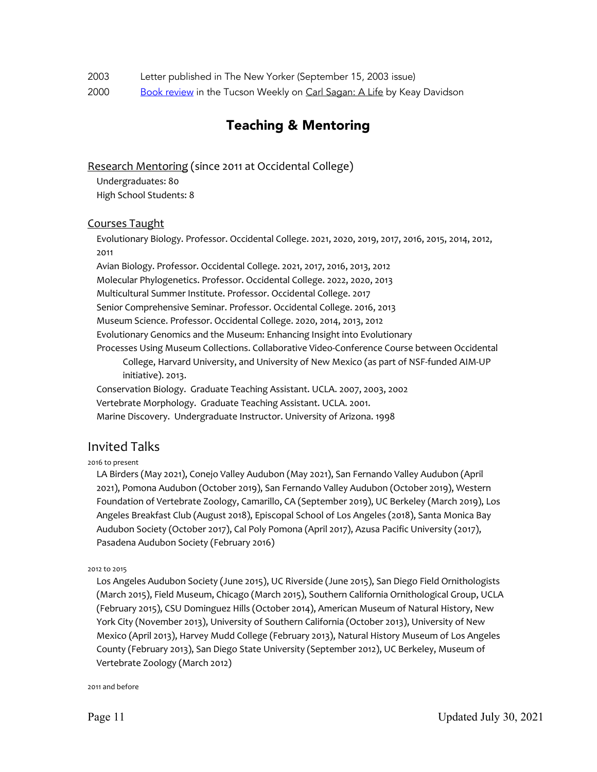| Letter published in The New Yorker (September 15, 2003 issue)<br>2003 |  |
|-----------------------------------------------------------------------|--|
|-----------------------------------------------------------------------|--|

2000 Book review in the Tucson Weekly on Carl Sagan: A Life by Keay Davidson

# Teaching & Mentoring

Research Mentoring (since 2011 at Occidental College)

Undergraduates: 80 High School Students: 8

#### Courses Taught

Evolutionary Biology. Professor. Occidental College. 2021, 2020, 2019, 2017, 2016, 2015, 2014, 2012, 2011

Avian Biology. Professor. Occidental College. 2021, 2017, 2016, 2013, 2012 Molecular Phylogenetics. Professor. Occidental College. 2022, 2020, 2013 Multicultural Summer Institute. Professor. Occidental College. 2017 Senior Comprehensive Seminar. Professor. Occidental College. 2016, 2013 Museum Science. Professor. Occidental College. 2020, 2014, 2013, 2012 Evolutionary Genomics and the Museum: Enhancing Insight into Evolutionary Processes Using Museum Collections. Collaborative Video-Conference Course between Occidental College, Harvard University, and University of New Mexico (as part of NSF-funded AIM-UP initiative). 2013. Conservation Biology. Graduate Teaching Assistant. UCLA. 2007, 2003, 2002 Vertebrate Morphology. Graduate Teaching Assistant. UCLA. 2001.

Marine Discovery. Undergraduate Instructor. University of Arizona. 1998

## Invited Talks

#### 2016 to present

LA Birders (May 2021), Conejo Valley Audubon (May 2021), San Fernando Valley Audubon (April 2021), Pomona Audubon (October 2019), San Fernando Valley Audubon (October 2019), Western Foundation of Vertebrate Zoology, Camarillo, CA (September 2019), UC Berkeley (March 2019), Los Angeles Breakfast Club (August 2018), Episcopal School of Los Angeles (2018), Santa Monica Bay Audubon Society (October 2017), Cal Poly Pomona (April 2017), Azusa Pacific University (2017), Pasadena Audubon Society (February 2016)

2012 to 2015

Los Angeles Audubon Society (June 2015), UC Riverside (June 2015), San Diego Field Ornithologists (March 2015), Field Museum, Chicago (March 2015), Southern California Ornithological Group, UCLA (February 2015), CSU Dominguez Hills (October 2014), American Museum of Natural History, New York City (November 2013), University of Southern California (October 2013), University of New Mexico (April 2013), Harvey Mudd College (February 2013), Natural History Museum of Los Angeles County (February 2013), San Diego State University (September 2012), UC Berkeley, Museum of Vertebrate Zoology (March 2012)

2011 and before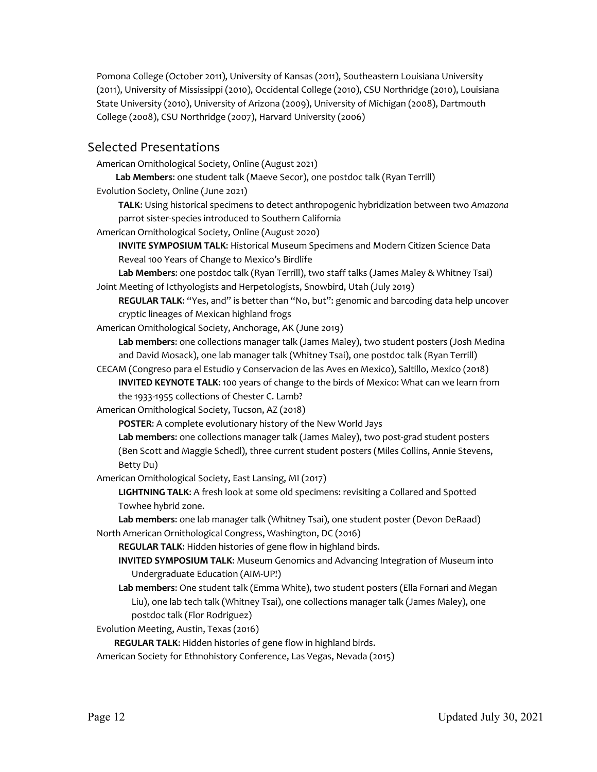Pomona College (October 2011), University of Kansas (2011), Southeastern Louisiana University (2011), University of Mississippi (2010), Occidental College (2010), CSU Northridge (2010), Louisiana State University (2010), University of Arizona (2009), University of Michigan (2008), Dartmouth College (2008), CSU Northridge (2007), Harvard University (2006)

### Selected Presentations

American Ornithological Society, Online (August 2021)

**Lab Members**: one student talk (Maeve Secor), one postdoc talk (Ryan Terrill)

Evolution Society, Online (June 2021)

**TALK**: Using historical specimens to detect anthropogenic hybridization between two *Amazona* parrot sister-species introduced to Southern California

American Ornithological Society, Online (August 2020)

**INVITE SYMPOSIUM TALK**: Historical Museum Specimens and Modern Citizen Science Data Reveal 100 Years of Change to Mexico's Birdlife

**Lab Members**: one postdoc talk (Ryan Terrill), two staff talks (James Maley & Whitney Tsai) Joint Meeting of Icthyologists and Herpetologists, Snowbird, Utah (July 2019)

REGULAR TALK: "Yes, and" is better than "No, but": genomic and barcoding data help uncover cryptic lineages of Mexican highland frogs

American Ornithological Society, Anchorage, AK (June 2019)

**Lab members**: one collections manager talk (James Maley), two student posters (Josh Medina and David Mosack), one lab manager talk (Whitney Tsai), one postdoc talk (Ryan Terrill)

CECAM (Congreso para el Estudio y Conservacion de las Aves en Mexico), Saltillo, Mexico (2018) **INVITED KEYNOTE TALK**: 100 years of change to the birds of Mexico: What can we learn from the 1933-1955 collections of Chester C. Lamb?

American Ornithological Society, Tucson, AZ (2018)

**POSTER**: A complete evolutionary history of the New World Jays

**Lab members**: one collections manager talk (James Maley), two post-grad student posters (Ben Scott and Maggie Schedl), three current student posters (Miles Collins, Annie Stevens, Betty Du)

American Ornithological Society, East Lansing, MI (2017)

**LIGHTNING TALK**: A fresh look at some old specimens: revisiting a Collared and Spotted Towhee hybrid zone.

**Lab members**: one lab manager talk (Whitney Tsai), one student poster (Devon DeRaad) North American Ornithological Congress, Washington, DC (2016)

**REGULAR TALK**: Hidden histories of gene flow in highland birds.

**INVITED SYMPOSIUM TALK**: Museum Genomics and Advancing Integration of Museum into Undergraduate Education (AIM-UP!)

**Lab members**: One student talk (Emma White), two student posters (Ella Fornari and Megan Liu), one lab tech talk (Whitney Tsai), one collections manager talk (James Maley), one postdoc talk (Flor Rodriguez)

Evolution Meeting, Austin, Texas (2016)

**REGULAR TALK**: Hidden histories of gene flow in highland birds.

American Society for Ethnohistory Conference, Las Vegas, Nevada (2015)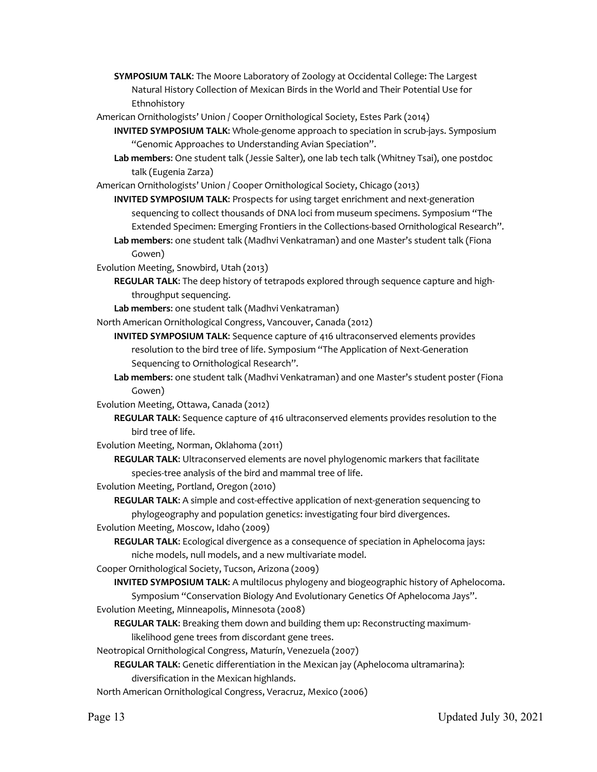- **SYMPOSIUM TALK**: The Moore Laboratory of Zoology at Occidental College: The Largest Natural History Collection of Mexican Birds in the World and Their Potential Use for Ethnohistory
- American Ornithologists' Union / Cooper Ornithological Society, Estes Park (2014)
	- **INVITED SYMPOSIUM TALK**: Whole-genome approach to speciation in scrub-jays. Symposium "Genomic Approaches to Understanding Avian Speciation".
	- **Lab members**: One student talk (Jessie Salter), one lab tech talk (Whitney Tsai), one postdoc talk (Eugenia Zarza)
- American Ornithologists' Union / Cooper Ornithological Society, Chicago (2013)
	- **INVITED SYMPOSIUM TALK**: Prospects for using target enrichment and next-generation sequencing to collect thousands of DNA loci from museum specimens. Symposium "The Extended Specimen: Emerging Frontiers in the Collections-based Ornithological Research".
	- **Lab members**: one student talk (Madhvi Venkatraman) and one Master's student talk (Fiona Gowen)
- Evolution Meeting, Snowbird, Utah (2013)
	- **REGULAR TALK**: The deep history of tetrapods explored through sequence capture and highthroughput sequencing.
	- **Lab members**: one student talk (Madhvi Venkatraman)
- North American Ornithological Congress, Vancouver, Canada (2012)
	- **INVITED SYMPOSIUM TALK**: Sequence capture of 416 ultraconserved elements provides resolution to the bird tree of life. Symposium "The Application of Next-Generation Sequencing to Ornithological Research".
	- **Lab members**: one student talk (Madhvi Venkatraman) and one Master's student poster (Fiona Gowen)
- Evolution Meeting, Ottawa, Canada (2012)
	- **REGULAR TALK**: Sequence capture of 416 ultraconserved elements provides resolution to the bird tree of life.
- Evolution Meeting, Norman, Oklahoma (2011)
	- **REGULAR TALK**: Ultraconserved elements are novel phylogenomic markers that facilitate species-tree analysis of the bird and mammal tree of life.
- Evolution Meeting, Portland, Oregon (2010)
	- **REGULAR TALK**: A simple and cost-effective application of next-generation sequencing to phylogeography and population genetics: investigating four bird divergences.
- Evolution Meeting, Moscow, Idaho (2009)
	- **REGULAR TALK**: Ecological divergence as a consequence of speciation in Aphelocoma jays: niche models, null models, and a new multivariate model.
- Cooper Ornithological Society, Tucson, Arizona (2009)
	- **INVITED SYMPOSIUM TALK**: A multilocus phylogeny and biogeographic history of Aphelocoma.
- Symposium "Conservation Biology And Evolutionary Genetics Of Aphelocoma Jays". Evolution Meeting, Minneapolis, Minnesota (2008)
	- **REGULAR TALK**: Breaking them down and building them up: Reconstructing maximumlikelihood gene trees from discordant gene trees.
- Neotropical Ornithological Congress, Maturín, Venezuela (2007)
	- **REGULAR TALK**: Genetic differentiation in the Mexican jay (Aphelocoma ultramarina): diversification in the Mexican highlands.
- North American Ornithological Congress, Veracruz, Mexico (2006)